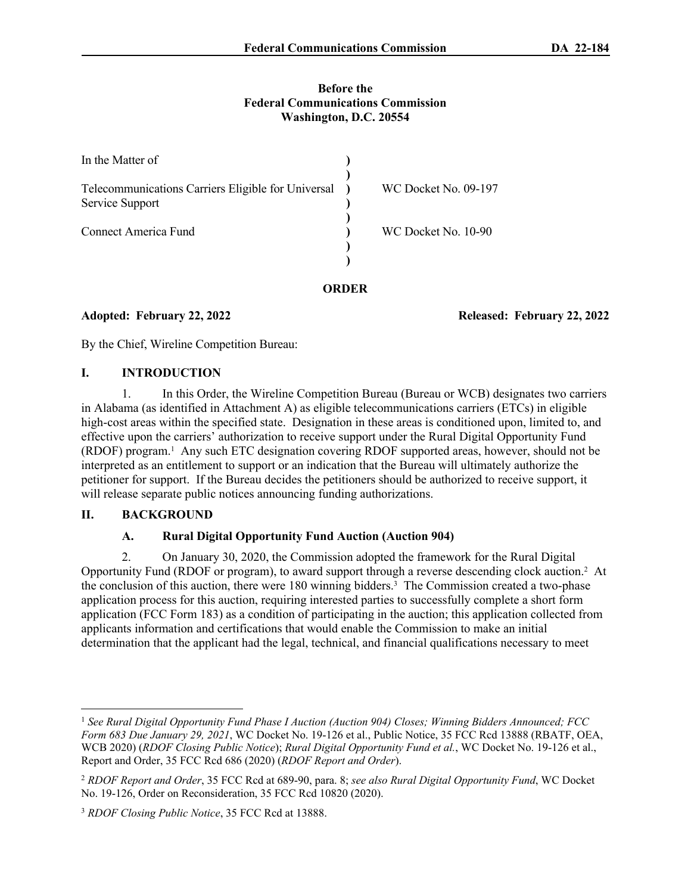#### **Before the Federal Communications Commission Washington, D.C. 20554**

| In the Matter of                                                        |                      |
|-------------------------------------------------------------------------|----------------------|
| Telecommunications Carriers Eligible for Universal )<br>Service Support | WC Docket No. 09-197 |
| Connect America Fund                                                    | WC Docket No. 10-90  |
|                                                                         |                      |

#### **ORDER**

**Adopted: February 22, 2022 Released: February 22, 2022**

By the Chief, Wireline Competition Bureau:

#### **I. INTRODUCTION**

1. In this Order, the Wireline Competition Bureau (Bureau or WCB) designates two carriers in Alabama (as identified in Attachment A) as eligible telecommunications carriers (ETCs) in eligible high-cost areas within the specified state. Designation in these areas is conditioned upon, limited to, and effective upon the carriers' authorization to receive support under the Rural Digital Opportunity Fund (RDOF) program.<sup>1</sup> Any such ETC designation covering RDOF supported areas, however, should not be interpreted as an entitlement to support or an indication that the Bureau will ultimately authorize the petitioner for support. If the Bureau decides the petitioners should be authorized to receive support, it will release separate public notices announcing funding authorizations.

## **II. BACKGROUND**

## **A. Rural Digital Opportunity Fund Auction (Auction 904)**

2. On January 30, 2020, the Commission adopted the framework for the Rural Digital Opportunity Fund (RDOF or program), to award support through a reverse descending clock auction.<sup>2</sup> At the conclusion of this auction, there were 180 winning bidders.<sup>3</sup> The Commission created a two-phase application process for this auction, requiring interested parties to successfully complete a short form application (FCC Form 183) as a condition of participating in the auction; this application collected from applicants information and certifications that would enable the Commission to make an initial determination that the applicant had the legal, technical, and financial qualifications necessary to meet

<sup>1</sup> *See Rural Digital Opportunity Fund Phase I Auction (Auction 904) Closes; Winning Bidders Announced; FCC Form 683 Due January 29, 2021*, WC Docket No. 19-126 et al., Public Notice, 35 FCC Rcd 13888 (RBATF, OEA, WCB 2020) (*RDOF Closing Public Notice*); *Rural Digital Opportunity Fund et al.*, WC Docket No. 19-126 et al., Report and Order, 35 FCC Rcd 686 (2020) (*RDOF Report and Order*).

<sup>2</sup> *RDOF Report and Order*, 35 FCC Rcd at 689-90, para. 8; *see also Rural Digital Opportunity Fund*, WC Docket No. 19-126, Order on Reconsideration, 35 FCC Rcd 10820 (2020).

<sup>3</sup> *RDOF Closing Public Notice*, 35 FCC Rcd at 13888.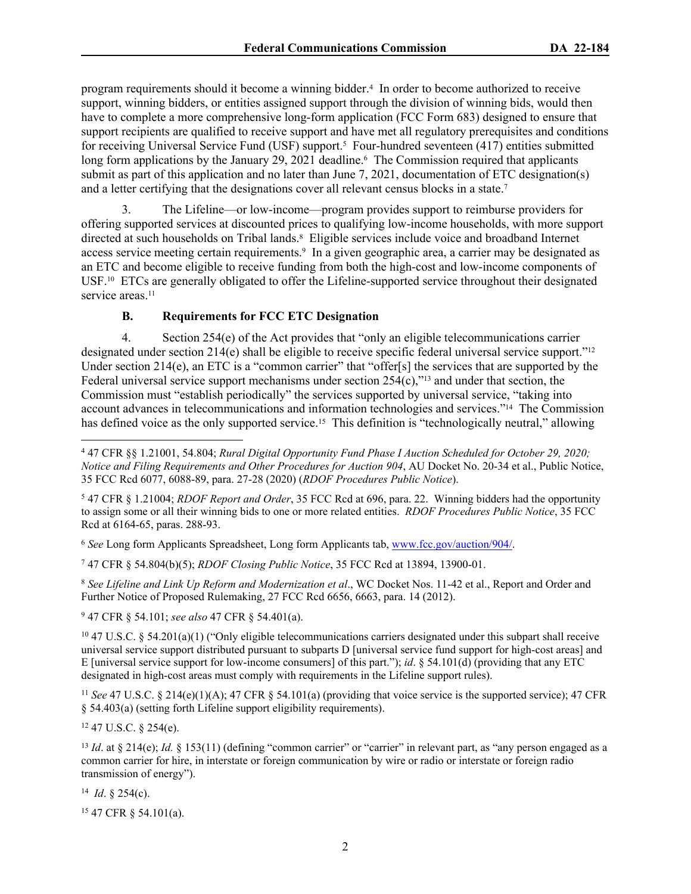program requirements should it become a winning bidder.<sup>4</sup> In order to become authorized to receive support, winning bidders, or entities assigned support through the division of winning bids, would then have to complete a more comprehensive long-form application (FCC Form 683) designed to ensure that support recipients are qualified to receive support and have met all regulatory prerequisites and conditions for receiving Universal Service Fund (USF) support.<sup>5</sup> Four-hundred seventeen (417) entities submitted long form applications by the January 29, 2021 deadline.<sup>6</sup> The Commission required that applicants submit as part of this application and no later than June 7, 2021, documentation of ETC designation(s) and a letter certifying that the designations cover all relevant census blocks in a state.<sup>7</sup>

3. The Lifeline—or low-income—program provides support to reimburse providers for offering supported services at discounted prices to qualifying low-income households, with more support directed at such households on Tribal lands.<sup>8</sup> Eligible services include voice and broadband Internet access service meeting certain requirements.<sup>9</sup> In a given geographic area, a carrier may be designated as an ETC and become eligible to receive funding from both the high-cost and low-income components of USF.10 ETCs are generally obligated to offer the Lifeline-supported service throughout their designated service areas<sup>11</sup>

## **B. Requirements for FCC ETC Designation**

4. Section 254(e) of the Act provides that "only an eligible telecommunications carrier designated under section 214(e) shall be eligible to receive specific federal universal service support."<sup>12</sup> Under section 214(e), an ETC is a "common carrier" that "offer[s] the services that are supported by the Federal universal service support mechanisms under section  $254(c)$ ,"<sup>13</sup> and under that section, the Commission must "establish periodically" the services supported by universal service, "taking into account advances in telecommunications and information technologies and services."14 The Commission has defined voice as the only supported service.<sup>15</sup> This definition is "technologically neutral," allowing

5 47 CFR § 1.21004; *RDOF Report and Order*, 35 FCC Rcd at 696, para. 22. Winning bidders had the opportunity to assign some or all their winning bids to one or more related entities. *RDOF Procedures Public Notice*, 35 FCC Rcd at 6164-65, paras. 288-93.

<sup>6</sup> *See* Long form Applicants Spreadsheet, Long form Applicants tab, [www.fcc.gov/auction/904/](https://www.fcc.gov/auction/904/).

7 47 CFR § 54.804(b)(5); *RDOF Closing Public Notice*, 35 FCC Rcd at 13894, 13900-01.

<sup>8</sup> *See Lifeline and Link Up Reform and Modernization et al*., WC Docket Nos. 11-42 et al., Report and Order and Further Notice of Proposed Rulemaking, 27 FCC Rcd 6656, 6663, para. 14 (2012).

9 47 CFR § 54.101; *see also* 47 CFR § 54.401(a).

 $10\,47$  U.S.C. § 54.201(a)(1) ("Only eligible telecommunications carriers designated under this subpart shall receive universal service support distributed pursuant to subparts D [universal service fund support for high-cost areas] and E [universal service support for low-income consumers] of this part."); *id*. § 54.101(d) (providing that any ETC designated in high-cost areas must comply with requirements in the Lifeline support rules).

<sup>11</sup> *See* 47 U.S.C. § 214(e)(1)(A); 47 CFR § 54.101(a) (providing that voice service is the supported service); 47 CFR § 54.403(a) (setting forth Lifeline support eligibility requirements).

<sup>12</sup> 47 U.S.C. § 254(e).

<sup>13</sup> *Id.* at § 214(e); *Id.* § 153(11) (defining "common carrier" or "carrier" in relevant part, as "any person engaged as a common carrier for hire, in interstate or foreign communication by wire or radio or interstate or foreign radio transmission of energy").

14 *Id*. § 254(c).

15 47 CFR § 54.101(a).

<sup>4</sup> 47 CFR §§ 1.21001, 54.804; *Rural Digital Opportunity Fund Phase I Auction Scheduled for October 29, 2020; Notice and Filing Requirements and Other Procedures for Auction 904*, AU Docket No. 20-34 et al., Public Notice, 35 FCC Rcd 6077, 6088-89, para. 27-28 (2020) (*RDOF Procedures Public Notice*).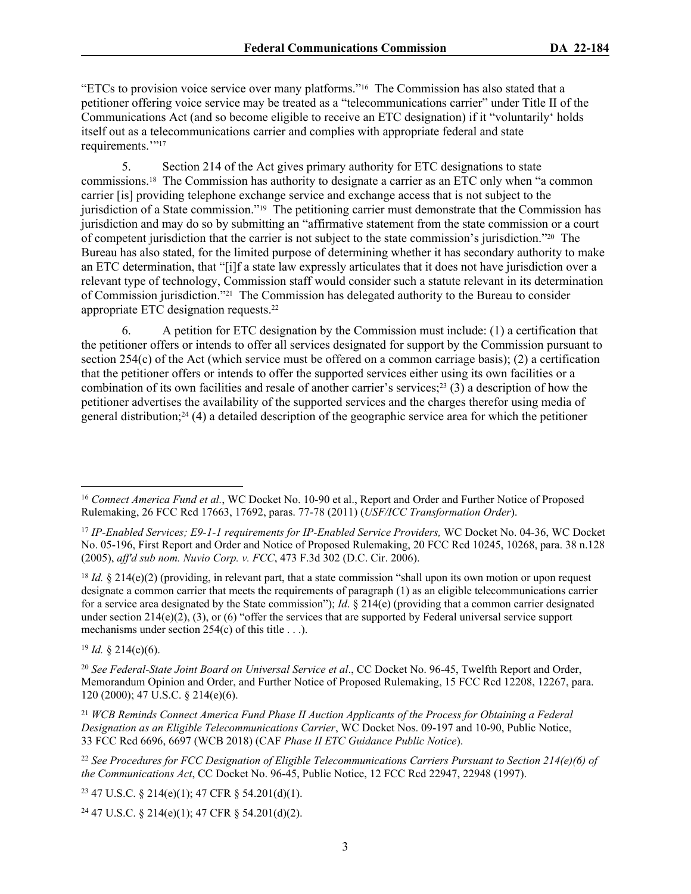"ETCs to provision voice service over many platforms."16 The Commission has also stated that a petitioner offering voice service may be treated as a "telecommunications carrier" under Title II of the Communications Act (and so become eligible to receive an ETC designation) if it "voluntarily' holds itself out as a telecommunications carrier and complies with appropriate federal and state requirements."<sup>17</sup>

5. Section 214 of the Act gives primary authority for ETC designations to state commissions.18 The Commission has authority to designate a carrier as an ETC only when "a common carrier [is] providing telephone exchange service and exchange access that is not subject to the jurisdiction of a State commission."19 The petitioning carrier must demonstrate that the Commission has jurisdiction and may do so by submitting an "affirmative statement from the state commission or a court of competent jurisdiction that the carrier is not subject to the state commission's jurisdiction."20 The Bureau has also stated, for the limited purpose of determining whether it has secondary authority to make an ETC determination, that "[i]f a state law expressly articulates that it does not have jurisdiction over a relevant type of technology, Commission staff would consider such a statute relevant in its determination of Commission jurisdiction."21 The Commission has delegated authority to the Bureau to consider appropriate ETC designation requests.<sup>22</sup>

6. A petition for ETC designation by the Commission must include: (1) a certification that the petitioner offers or intends to offer all services designated for support by the Commission pursuant to section  $254(c)$  of the Act (which service must be offered on a common carriage basis); (2) a certification that the petitioner offers or intends to offer the supported services either using its own facilities or a combination of its own facilities and resale of another carrier's services;<sup>23</sup> (3) a description of how the petitioner advertises the availability of the supported services and the charges therefor using media of general distribution;<sup>24</sup> (4) a detailed description of the geographic service area for which the petitioner

<sup>18</sup> *Id.* § 214(e)(2) (providing, in relevant part, that a state commission "shall upon its own motion or upon request designate a common carrier that meets the requirements of paragraph (1) as an eligible telecommunications carrier for a service area designated by the State commission"); *Id*. § 214(e) (providing that a common carrier designated under section  $214(e)(2)$ , (3), or (6) "offer the services that are supported by Federal universal service support mechanisms under section 254(c) of this title . . .).

 $19$  *Id.* § 214(e)(6).

<sup>20</sup> *See Federal-State Joint Board on Universal Service et al*., CC Docket No. 96-45, Twelfth Report and Order, Memorandum Opinion and Order, and Further Notice of Proposed Rulemaking, 15 FCC Rcd 12208, 12267, para. 120 (2000); 47 U.S.C. § 214(e)(6).

<sup>21</sup> *WCB Reminds Connect America Fund Phase II Auction Applicants of the Process for Obtaining a Federal Designation as an Eligible Telecommunications Carrier*, WC Docket Nos. 09-197 and 10-90, Public Notice, 33 FCC Rcd 6696, 6697 (WCB 2018) (CAF *Phase II ETC Guidance Public Notice*).

<sup>22</sup> *See Procedures for FCC Designation of Eligible Telecommunications Carriers Pursuant to Section 214(e)(6) of the Communications Act*, CC Docket No. 96-45, Public Notice, 12 FCC Rcd 22947, 22948 (1997).

<sup>23</sup> 47 U.S.C. § 214(e)(1); 47 CFR § 54.201(d)(1).

24 47 U.S.C. § 214(e)(1); 47 CFR § 54.201(d)(2).

<sup>&</sup>lt;sup>16</sup> Connect America Fund et al., WC Docket No. 10-90 et al., Report and Order and Further Notice of Proposed Rulemaking, 26 FCC Rcd 17663, 17692, paras. 77-78 (2011) (*USF/ICC Transformation Order*).

<sup>17</sup> *IP-Enabled Services; E9-1-1 requirements for IP-Enabled Service Providers,* WC Docket No. 04-36, WC Docket No. 05-196, First Report and Order and Notice of Proposed Rulemaking, 20 FCC Rcd 10245, 10268, para. 38 n.128 (2005), *aff'd sub nom. Nuvio Corp. v. FCC*, 473 F.3d 302 (D.C. Cir. 2006).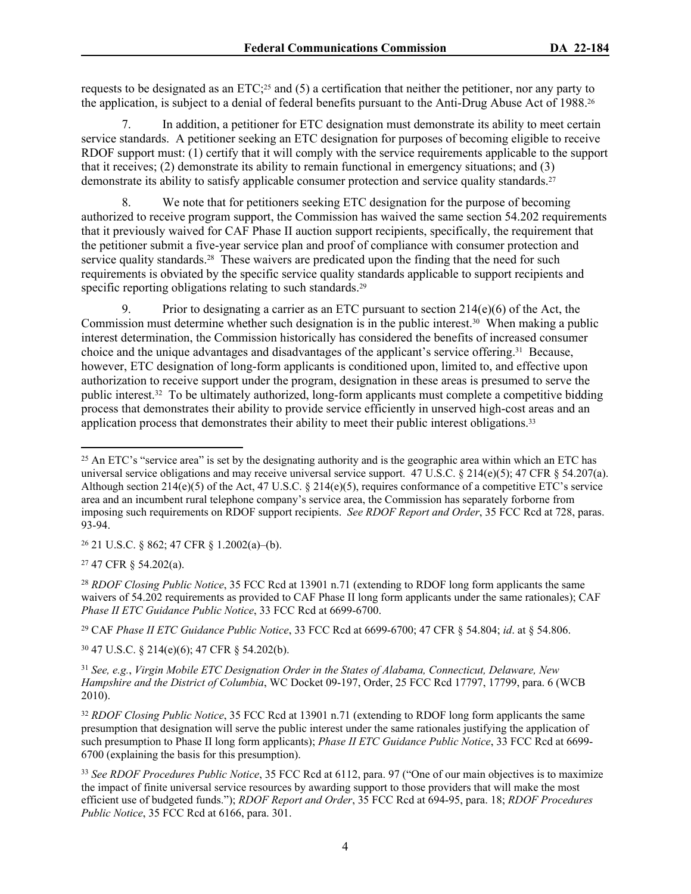requests to be designated as an ETC;25 and (5) a certification that neither the petitioner, nor any party to the application, is subject to a denial of federal benefits pursuant to the Anti-Drug Abuse Act of 1988.<sup>26</sup>

7. In addition, a petitioner for ETC designation must demonstrate its ability to meet certain service standards. A petitioner seeking an ETC designation for purposes of becoming eligible to receive RDOF support must: (1) certify that it will comply with the service requirements applicable to the support that it receives; (2) demonstrate its ability to remain functional in emergency situations; and (3) demonstrate its ability to satisfy applicable consumer protection and service quality standards.<sup>27</sup>

8. We note that for petitioners seeking ETC designation for the purpose of becoming authorized to receive program support, the Commission has waived the same section 54.202 requirements that it previously waived for CAF Phase II auction support recipients, specifically, the requirement that the petitioner submit a five-year service plan and proof of compliance with consumer protection and service quality standards.<sup>28</sup> These waivers are predicated upon the finding that the need for such requirements is obviated by the specific service quality standards applicable to support recipients and specific reporting obligations relating to such standards.<sup>29</sup>

9. Prior to designating a carrier as an ETC pursuant to section  $214(e)(6)$  of the Act, the Commission must determine whether such designation is in the public interest.30 When making a public interest determination, the Commission historically has considered the benefits of increased consumer choice and the unique advantages and disadvantages of the applicant's service offering.31 Because, however, ETC designation of long-form applicants is conditioned upon, limited to, and effective upon authorization to receive support under the program, designation in these areas is presumed to serve the public interest.32 To be ultimately authorized, long-form applicants must complete a competitive bidding process that demonstrates their ability to provide service efficiently in unserved high-cost areas and an application process that demonstrates their ability to meet their public interest obligations.<sup>33</sup>

<sup>26</sup> 21 U.S.C. § 862; 47 CFR § 1.2002(a)–(b).

<sup>27</sup> 47 CFR § 54.202(a).

<sup>28</sup> *RDOF Closing Public Notice*, 35 FCC Rcd at 13901 n.71 (extending to RDOF long form applicants the same waivers of 54.202 requirements as provided to CAF Phase II long form applicants under the same rationales); CAF *Phase II ETC Guidance Public Notice*, 33 FCC Rcd at 6699-6700.

<sup>29</sup> CAF *Phase II ETC Guidance Public Notice*, 33 FCC Rcd at 6699-6700; 47 CFR § 54.804; *id*. at § 54.806.

<sup>30</sup> 47 U.S.C. § 214(e)(6); 47 CFR § 54.202(b).

<sup>31</sup> *See, e.g.*, *Virgin Mobile ETC Designation Order in the States of Alabama, Connecticut, Delaware, New Hampshire and the District of Columbia*, WC Docket 09-197, Order, 25 FCC Rcd 17797, 17799, para. 6 (WCB 2010).

<sup>32</sup> *RDOF Closing Public Notice*, 35 FCC Rcd at 13901 n.71 (extending to RDOF long form applicants the same presumption that designation will serve the public interest under the same rationales justifying the application of such presumption to Phase II long form applicants); *Phase II ETC Guidance Public Notice*, 33 FCC Rcd at 6699- 6700 (explaining the basis for this presumption).

<sup>&</sup>lt;sup>25</sup> An ETC's "service area" is set by the designating authority and is the geographic area within which an ETC has universal service obligations and may receive universal service support.  $47 \text{ U.S.C.}$  §  $214 \text{ (e)}(5)$ ;  $47 \text{ CFR}$  §  $54.207 \text{ (a)}$ . Although section 214(e)(5) of the Act, 47 U.S.C. § 214(e)(5), requires conformance of a competitive ETC's service area and an incumbent rural telephone company's service area, the Commission has separately forborne from imposing such requirements on RDOF support recipients. *See RDOF Report and Order*, 35 FCC Rcd at 728, paras. 93-94.

<sup>33</sup> *See RDOF Procedures Public Notice*, 35 FCC Rcd at 6112, para. 97 ("One of our main objectives is to maximize the impact of finite universal service resources by awarding support to those providers that will make the most efficient use of budgeted funds."); *RDOF Report and Order*, 35 FCC Rcd at 694-95, para. 18; *RDOF Procedures Public Notice*, 35 FCC Rcd at 6166, para. 301.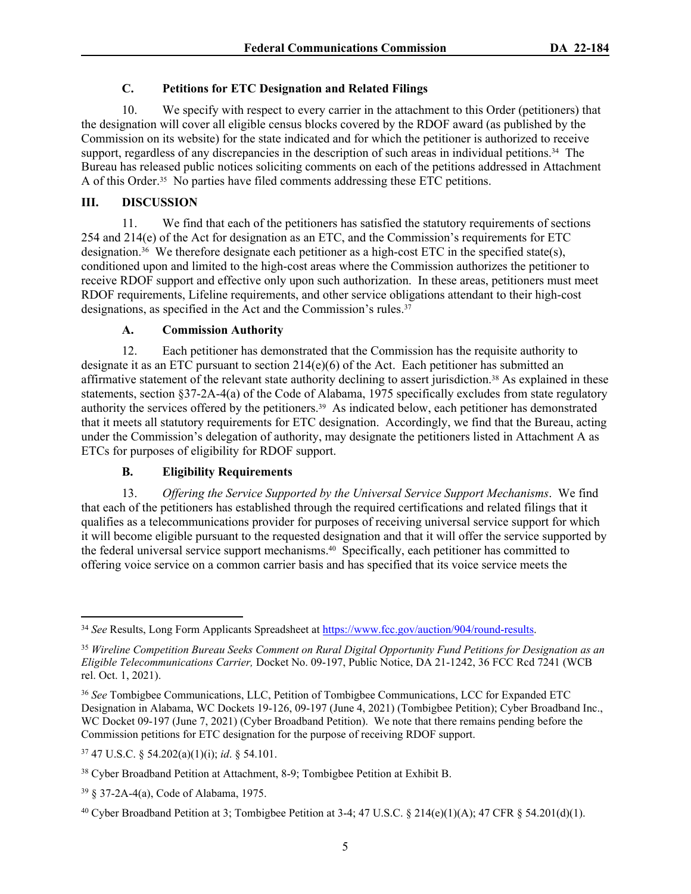## **C. Petitions for ETC Designation and Related Filings**

10. We specify with respect to every carrier in the attachment to this Order (petitioners) that the designation will cover all eligible census blocks covered by the RDOF award (as published by the Commission on its website) for the state indicated and for which the petitioner is authorized to receive support, regardless of any discrepancies in the description of such areas in individual petitions.<sup>34</sup> The Bureau has released public notices soliciting comments on each of the petitions addressed in Attachment A of this Order.35 No parties have filed comments addressing these ETC petitions.

## **III. DISCUSSION**

11. We find that each of the petitioners has satisfied the statutory requirements of sections 254 and 214(e) of the Act for designation as an ETC, and the Commission's requirements for ETC designation.<sup>36</sup> We therefore designate each petitioner as a high-cost ETC in the specified state(s), conditioned upon and limited to the high-cost areas where the Commission authorizes the petitioner to receive RDOF support and effective only upon such authorization. In these areas, petitioners must meet RDOF requirements, Lifeline requirements, and other service obligations attendant to their high-cost designations, as specified in the Act and the Commission's rules.<sup>37</sup>

## **A. Commission Authority**

12. Each petitioner has demonstrated that the Commission has the requisite authority to designate it as an ETC pursuant to section  $214(e)(6)$  of the Act. Each petitioner has submitted an affirmative statement of the relevant state authority declining to assert jurisdiction.38 As explained in these statements, section §37-2A-4(a) of the Code of Alabama, 1975 specifically excludes from state regulatory authority the services offered by the petitioners.39 As indicated below, each petitioner has demonstrated that it meets all statutory requirements for ETC designation. Accordingly, we find that the Bureau, acting under the Commission's delegation of authority, may designate the petitioners listed in Attachment A as ETCs for purposes of eligibility for RDOF support.

# **B. Eligibility Requirements**

13. *Offering the Service Supported by the Universal Service Support Mechanisms*. We find that each of the petitioners has established through the required certifications and related filings that it qualifies as a telecommunications provider for purposes of receiving universal service support for which it will become eligible pursuant to the requested designation and that it will offer the service supported by the federal universal service support mechanisms.<sup>40</sup> Specifically, each petitioner has committed to offering voice service on a common carrier basis and has specified that its voice service meets the

<sup>34</sup> *See* Results, Long Form Applicants Spreadsheet at <https://www.fcc.gov/auction/904/round-results>.

<sup>35</sup> *Wireline Competition Bureau Seeks Comment on Rural Digital Opportunity Fund Petitions for Designation as an Eligible Telecommunications Carrier,* Docket No. 09-197, Public Notice, DA 21-1242, 36 FCC Rcd 7241 (WCB rel. Oct. 1, 2021).

<sup>36</sup> *See* Tombigbee Communications, LLC, Petition of Tombigbee Communications, LCC for Expanded ETC Designation in Alabama, WC Dockets 19-126, 09-197 (June 4, 2021) (Tombigbee Petition); Cyber Broadband Inc., WC Docket 09-197 (June 7, 2021) (Cyber Broadband Petition). We note that there remains pending before the Commission petitions for ETC designation for the purpose of receiving RDOF support.

<sup>37</sup> 47 U.S.C. § 54.202(a)(1)(i); *id*. § 54.101.

<sup>38</sup> Cyber Broadband Petition at Attachment, 8-9; Tombigbee Petition at Exhibit B.

<sup>39</sup> § 37-2A-4(a), Code of Alabama, 1975.

<sup>40</sup> Cyber Broadband Petition at 3; Tombigbee Petition at 3-4; 47 U.S.C. § 214(e)(1)(A); 47 CFR § 54.201(d)(1).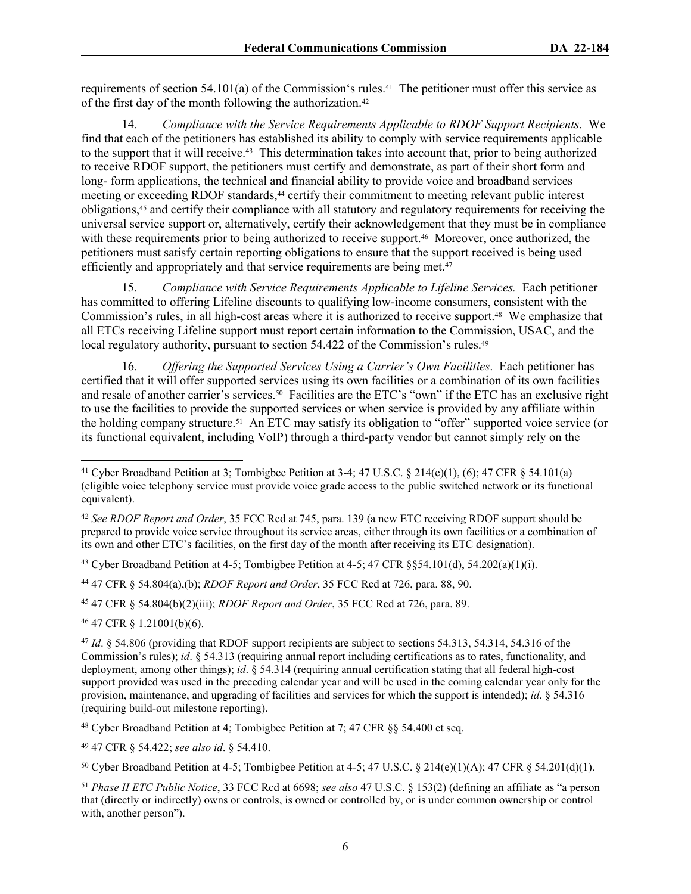requirements of section  $54.101(a)$  of the Commission's rules.<sup>41</sup> The petitioner must offer this service as of the first day of the month following the authorization.<sup>42</sup>

14. *Compliance with the Service Requirements Applicable to RDOF Support Recipients*. We find that each of the petitioners has established its ability to comply with service requirements applicable to the support that it will receive.43 This determination takes into account that, prior to being authorized to receive RDOF support, the petitioners must certify and demonstrate, as part of their short form and long- form applications, the technical and financial ability to provide voice and broadband services meeting or exceeding RDOF standards,<sup>44</sup> certify their commitment to meeting relevant public interest obligations,45 and certify their compliance with all statutory and regulatory requirements for receiving the universal service support or, alternatively, certify their acknowledgement that they must be in compliance with these requirements prior to being authorized to receive support.<sup>46</sup> Moreover, once authorized, the petitioners must satisfy certain reporting obligations to ensure that the support received is being used efficiently and appropriately and that service requirements are being met.<sup>47</sup>

15. *Compliance with Service Requirements Applicable to Lifeline Services.* Each petitioner has committed to offering Lifeline discounts to qualifying low-income consumers, consistent with the Commission's rules, in all high-cost areas where it is authorized to receive support.48 We emphasize that all ETCs receiving Lifeline support must report certain information to the Commission, USAC, and the local regulatory authority, pursuant to section 54.422 of the Commission's rules.<sup>49</sup>

16. *Offering the Supported Services Using a Carrier's Own Facilities*. Each petitioner has certified that it will offer supported services using its own facilities or a combination of its own facilities and resale of another carrier's services.50 Facilities are the ETC's "own" if the ETC has an exclusive right to use the facilities to provide the supported services or when service is provided by any affiliate within the holding company structure.51 An ETC may satisfy its obligation to "offer" supported voice service (or its functional equivalent, including VoIP) through a third-party vendor but cannot simply rely on the

<sup>43</sup> Cyber Broadband Petition at 4-5; Tombigbee Petition at 4-5; 47 CFR  $\S$ §54.101(d), 54.202(a)(1)(i).

<sup>44</sup> 47 CFR § 54.804(a),(b); *RDOF Report and Order*, 35 FCC Rcd at 726, para. 88, 90.

<sup>45</sup> 47 CFR § 54.804(b)(2)(iii); *RDOF Report and Order*, 35 FCC Rcd at 726, para. 89.

<sup>46</sup> 47 CFR § 1.21001(b)(6).

<sup>48</sup> Cyber Broadband Petition at 4; Tombigbee Petition at 7; 47 CFR §§ 54.400 et seq.

<sup>49</sup> 47 CFR § 54.422; *see also id*. § 54.410.

<sup>&</sup>lt;sup>41</sup> Cyber Broadband Petition at 3; Tombigbee Petition at 3-4; 47 U.S.C. § 214(e)(1), (6); 47 CFR § 54.101(a) (eligible voice telephony service must provide voice grade access to the public switched network or its functional equivalent).

<sup>42</sup> *See RDOF Report and Order*, 35 FCC Rcd at 745, para. 139 (a new ETC receiving RDOF support should be prepared to provide voice service throughout its service areas, either through its own facilities or a combination of its own and other ETC's facilities, on the first day of the month after receiving its ETC designation).

<sup>47</sup> *Id*. § 54.806 (providing that RDOF support recipients are subject to sections 54.313, 54.314, 54.316 of the Commission's rules); *id*. § 54.313 (requiring annual report including certifications as to rates, functionality, and deployment, among other things); *id*. § 54.314 (requiring annual certification stating that all federal high-cost support provided was used in the preceding calendar year and will be used in the coming calendar year only for the provision, maintenance, and upgrading of facilities and services for which the support is intended); *id*. § 54.316 (requiring build-out milestone reporting).

<sup>&</sup>lt;sup>50</sup> Cyber Broadband Petition at 4-5; Tombigbee Petition at 4-5; 47 U.S.C. § 214(e)(1)(A); 47 CFR § 54.201(d)(1).

<sup>51</sup> *Phase II ETC Public Notice*, 33 FCC Rcd at 6698; *see also* 47 U.S.C. § 153(2) (defining an affiliate as "a person that (directly or indirectly) owns or controls, is owned or controlled by, or is under common ownership or control with, another person").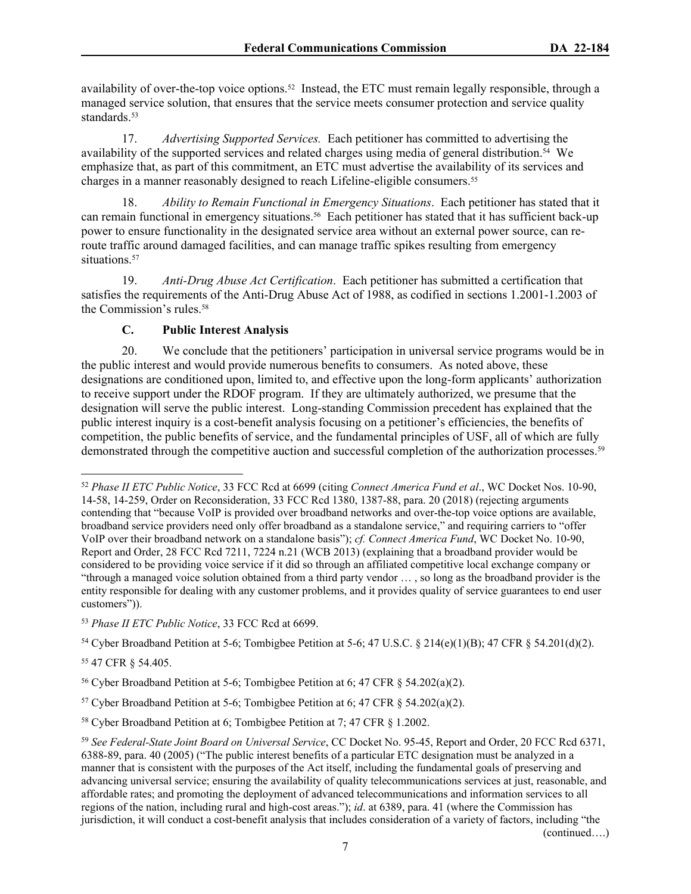availability of over-the-top voice options.<sup>52</sup> Instead, the ETC must remain legally responsible, through a managed service solution, that ensures that the service meets consumer protection and service quality standards.<sup>53</sup>

17. *Advertising Supported Services.* Each petitioner has committed to advertising the availability of the supported services and related charges using media of general distribution.54 We emphasize that, as part of this commitment, an ETC must advertise the availability of its services and charges in a manner reasonably designed to reach Lifeline-eligible consumers.<sup>55</sup>

18. *Ability to Remain Functional in Emergency Situations*. Each petitioner has stated that it can remain functional in emergency situations.56 Each petitioner has stated that it has sufficient back-up power to ensure functionality in the designated service area without an external power source, can reroute traffic around damaged facilities, and can manage traffic spikes resulting from emergency situations.<sup>57</sup>

19. *Anti-Drug Abuse Act Certification*. Each petitioner has submitted a certification that satisfies the requirements of the Anti-Drug Abuse Act of 1988, as codified in sections 1.2001-1.2003 of the Commission's rules.<sup>58</sup>

#### **C. Public Interest Analysis**

20. We conclude that the petitioners' participation in universal service programs would be in the public interest and would provide numerous benefits to consumers. As noted above, these designations are conditioned upon, limited to, and effective upon the long-form applicants' authorization to receive support under the RDOF program. If they are ultimately authorized, we presume that the designation will serve the public interest. Long-standing Commission precedent has explained that the public interest inquiry is a cost-benefit analysis focusing on a petitioner's efficiencies, the benefits of competition, the public benefits of service, and the fundamental principles of USF, all of which are fully demonstrated through the competitive auction and successful completion of the authorization processes.<sup>59</sup>

<sup>54</sup> Cyber Broadband Petition at 5-6; Tombigbee Petition at 5-6; 47 U.S.C. § 214(e)(1)(B); 47 CFR § 54.201(d)(2).

<sup>55</sup> 47 CFR § 54.405.

(continued….)

<sup>52</sup> *Phase II ETC Public Notice*, 33 FCC Rcd at 6699 (citing *Connect America Fund et al*., WC Docket Nos. 10-90, 14-58, 14-259, Order on Reconsideration, 33 FCC Rcd 1380, 1387-88, para. 20 (2018) (rejecting arguments contending that "because VoIP is provided over broadband networks and over-the-top voice options are available, broadband service providers need only offer broadband as a standalone service," and requiring carriers to "offer VoIP over their broadband network on a standalone basis"); *cf. Connect America Fund*, WC Docket No. 10-90, Report and Order, 28 FCC Rcd 7211, 7224 n.21 (WCB 2013) (explaining that a broadband provider would be considered to be providing voice service if it did so through an affiliated competitive local exchange company or "through a managed voice solution obtained from a third party vendor … , so long as the broadband provider is the entity responsible for dealing with any customer problems, and it provides quality of service guarantees to end user customers")).

<sup>53</sup> *Phase II ETC Public Notice*, 33 FCC Rcd at 6699.

<sup>56</sup> Cyber Broadband Petition at 5-6; Tombigbee Petition at 6; 47 CFR § 54.202(a)(2).

<sup>&</sup>lt;sup>57</sup> Cyber Broadband Petition at 5-6; Tombigbee Petition at 6; 47 CFR  $\S$  54.202(a)(2).

<sup>58</sup> Cyber Broadband Petition at 6; Tombigbee Petition at 7; 47 CFR § 1.2002.

<sup>59</sup> *See Federal-State Joint Board on Universal Service*, CC Docket No. 95-45, Report and Order, 20 FCC Rcd 6371, 6388-89, para. 40 (2005) ("The public interest benefits of a particular ETC designation must be analyzed in a manner that is consistent with the purposes of the Act itself, including the fundamental goals of preserving and advancing universal service; ensuring the availability of quality telecommunications services at just, reasonable, and affordable rates; and promoting the deployment of advanced telecommunications and information services to all regions of the nation, including rural and high-cost areas."); *id*. at 6389, para. 41 (where the Commission has jurisdiction, it will conduct a cost-benefit analysis that includes consideration of a variety of factors, including "the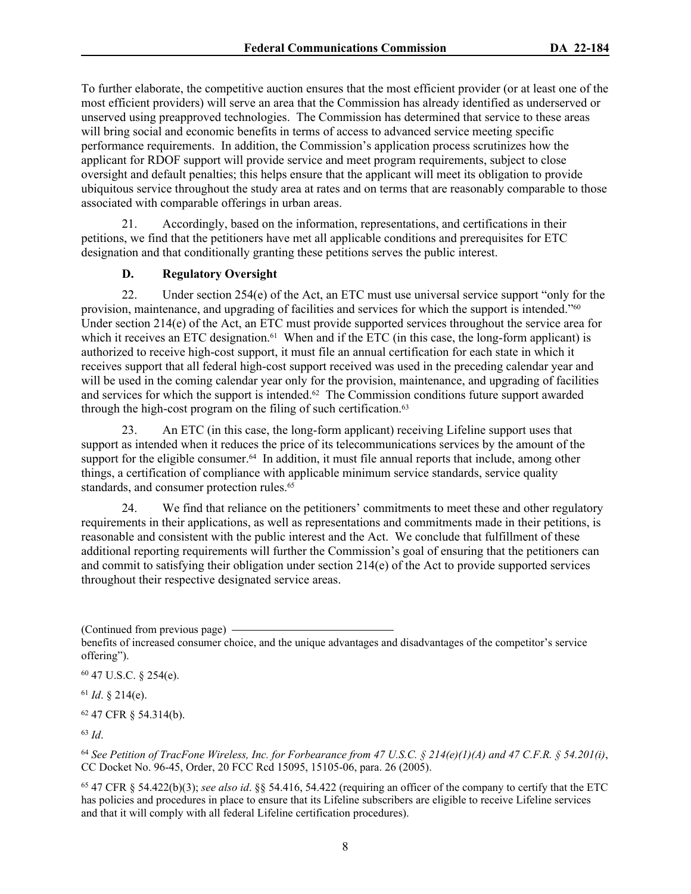To further elaborate, the competitive auction ensures that the most efficient provider (or at least one of the most efficient providers) will serve an area that the Commission has already identified as underserved or unserved using preapproved technologies. The Commission has determined that service to these areas will bring social and economic benefits in terms of access to advanced service meeting specific performance requirements. In addition, the Commission's application process scrutinizes how the applicant for RDOF support will provide service and meet program requirements, subject to close oversight and default penalties; this helps ensure that the applicant will meet its obligation to provide ubiquitous service throughout the study area at rates and on terms that are reasonably comparable to those associated with comparable offerings in urban areas.

21. Accordingly, based on the information, representations, and certifications in their petitions, we find that the petitioners have met all applicable conditions and prerequisites for ETC designation and that conditionally granting these petitions serves the public interest.

## **D. Regulatory Oversight**

22. Under section 254(e) of the Act, an ETC must use universal service support "only for the provision, maintenance, and upgrading of facilities and services for which the support is intended."<sup>60</sup> Under section 214(e) of the Act, an ETC must provide supported services throughout the service area for which it receives an ETC designation.<sup>61</sup> When and if the ETC (in this case, the long-form applicant) is authorized to receive high-cost support, it must file an annual certification for each state in which it receives support that all federal high-cost support received was used in the preceding calendar year and will be used in the coming calendar year only for the provision, maintenance, and upgrading of facilities and services for which the support is intended.<sup> $62$ </sup> The Commission conditions future support awarded through the high-cost program on the filing of such certification.<sup>63</sup>

23. An ETC (in this case, the long-form applicant) receiving Lifeline support uses that support as intended when it reduces the price of its telecommunications services by the amount of the support for the eligible consumer.<sup>64</sup> In addition, it must file annual reports that include, among other things, a certification of compliance with applicable minimum service standards, service quality standards, and consumer protection rules.<sup>65</sup>

24. We find that reliance on the petitioners' commitments to meet these and other regulatory requirements in their applications, as well as representations and commitments made in their petitions, is reasonable and consistent with the public interest and the Act. We conclude that fulfillment of these additional reporting requirements will further the Commission's goal of ensuring that the petitioners can and commit to satisfying their obligation under section 214(e) of the Act to provide supported services throughout their respective designated service areas.

<sup>60</sup> 47 U.S.C. § 254(e).

<sup>61</sup> *Id*. § 214(e).

<sup>62</sup> 47 CFR § 54.314(b).

<sup>63</sup> *Id*.

<sup>65</sup> 47 CFR § 54.422(b)(3); *see also id*. §§ 54.416, 54.422 (requiring an officer of the company to certify that the ETC has policies and procedures in place to ensure that its Lifeline subscribers are eligible to receive Lifeline services and that it will comply with all federal Lifeline certification procedures).

<sup>(</sup>Continued from previous page)

benefits of increased consumer choice, and the unique advantages and disadvantages of the competitor's service offering").

<sup>64</sup> *See Petition of TracFone Wireless, Inc. for Forbearance from 47 U.S.C. § 214(e)(1)(A) and 47 C.F.R. § 54.201(i)*, CC Docket No. 96-45, Order, 20 FCC Rcd 15095, 15105-06, para. 26 (2005).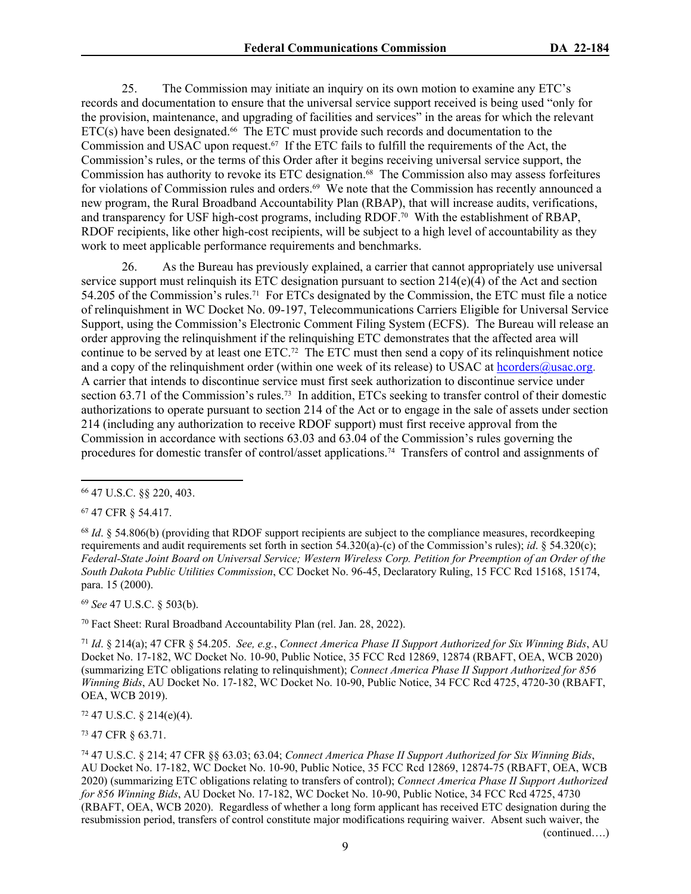25. The Commission may initiate an inquiry on its own motion to examine any ETC's records and documentation to ensure that the universal service support received is being used "only for the provision, maintenance, and upgrading of facilities and services" in the areas for which the relevant  $ETC(s)$  have been designated.<sup>66</sup> The ETC must provide such records and documentation to the Commission and USAC upon request.67 If the ETC fails to fulfill the requirements of the Act, the Commission's rules, or the terms of this Order after it begins receiving universal service support, the Commission has authority to revoke its ETC designation.<sup>68</sup> The Commission also may assess forfeitures for violations of Commission rules and orders.<sup>69</sup> We note that the Commission has recently announced a new program, the Rural Broadband Accountability Plan (RBAP), that will increase audits, verifications, and transparency for USF high-cost programs, including RDOF.70 With the establishment of RBAP, RDOF recipients, like other high-cost recipients, will be subject to a high level of accountability as they work to meet applicable performance requirements and benchmarks.

26. As the Bureau has previously explained, a carrier that cannot appropriately use universal service support must relinquish its ETC designation pursuant to section  $214(e)(4)$  of the Act and section 54.205 of the Commission's rules.71 For ETCs designated by the Commission, the ETC must file a notice of relinquishment in WC Docket No. 09-197, Telecommunications Carriers Eligible for Universal Service Support, using the Commission's Electronic Comment Filing System (ECFS). The Bureau will release an order approving the relinquishment if the relinquishing ETC demonstrates that the affected area will continue to be served by at least one ETC.72 The ETC must then send a copy of its relinquishment notice and a copy of the relinquishment order (within one week of its release) to USAC at [hcorders@usac.org](mailto:hcorders@usac.org). A carrier that intends to discontinue service must first seek authorization to discontinue service under section 63.71 of the Commission's rules.73 In addition, ETCs seeking to transfer control of their domestic authorizations to operate pursuant to section 214 of the Act or to engage in the sale of assets under section 214 (including any authorization to receive RDOF support) must first receive approval from the Commission in accordance with sections 63.03 and 63.04 of the Commission's rules governing the procedures for domestic transfer of control/asset applications.74 Transfers of control and assignments of

<sup>67</sup> 47 CFR § 54.417.

<sup>68</sup> *Id*. § 54.806(b) (providing that RDOF support recipients are subject to the compliance measures, recordkeeping requirements and audit requirements set forth in section 54.320(a)-(c) of the Commission's rules); *id*. § 54.320(c); *Federal-State Joint Board on Universal Service; Western Wireless Corp. Petition for Preemption of an Order of the South Dakota Public Utilities Commission*, CC Docket No. 96-45, Declaratory Ruling, 15 FCC Rcd 15168, 15174, para. 15 (2000).

<sup>69</sup> *See* 47 U.S.C. § 503(b).

<sup>70</sup> Fact Sheet: Rural Broadband Accountability Plan (rel. Jan. 28, 2022).

<sup>71</sup> *Id*. § 214(a); 47 CFR § 54.205. *See, e.g.*, *Connect America Phase II Support Authorized for Six Winning Bids*, AU Docket No. 17-182, WC Docket No. 10-90, Public Notice, 35 FCC Rcd 12869, 12874 (RBAFT, OEA, WCB 2020) (summarizing ETC obligations relating to relinquishment); *Connect America Phase II Support Authorized for 856 Winning Bids*, AU Docket No. 17-182, WC Docket No. 10-90, Public Notice, 34 FCC Rcd 4725, 4720-30 (RBAFT, OEA, WCB 2019).

 $72$  47 U.S.C. § 214(e)(4).

<sup>73</sup> 47 CFR § 63.71.

(continued….)

<sup>66</sup> 47 U.S.C. §§ 220, 403.

<sup>74</sup> 47 U.S.C. § 214; 47 CFR §§ 63.03; 63.04; *Connect America Phase II Support Authorized for Six Winning Bids*, AU Docket No. 17-182, WC Docket No. 10-90, Public Notice, 35 FCC Rcd 12869, 12874-75 (RBAFT, OEA, WCB 2020) (summarizing ETC obligations relating to transfers of control); *Connect America Phase II Support Authorized for 856 Winning Bids*, AU Docket No. 17-182, WC Docket No. 10-90, Public Notice, 34 FCC Rcd 4725, 4730 (RBAFT, OEA, WCB 2020). Regardless of whether a long form applicant has received ETC designation during the resubmission period, transfers of control constitute major modifications requiring waiver. Absent such waiver, the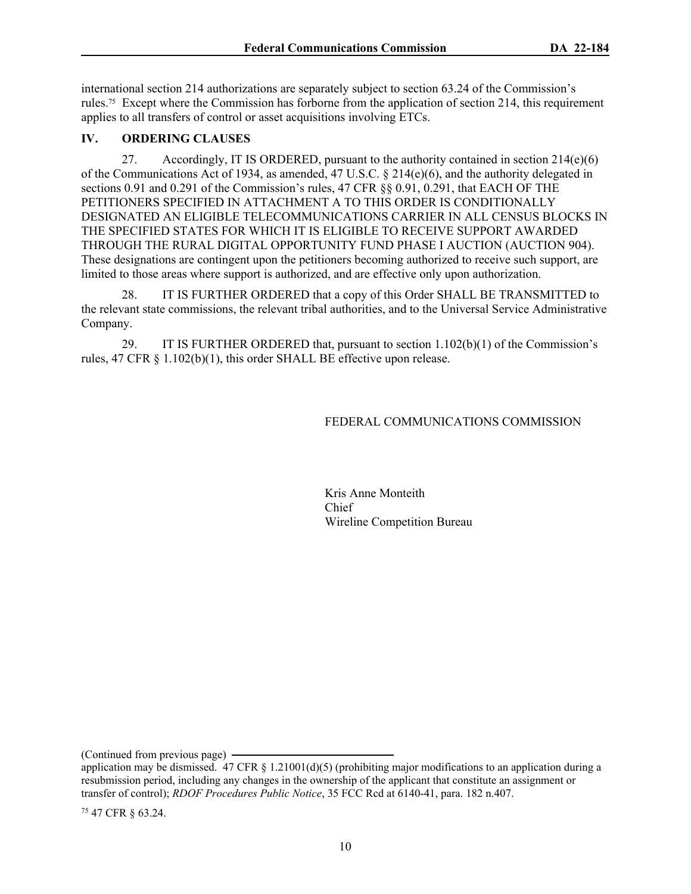international section 214 authorizations are separately subject to section 63.24 of the Commission's rules.75 Except where the Commission has forborne from the application of section 214, this requirement applies to all transfers of control or asset acquisitions involving ETCs.

## **IV. ORDERING CLAUSES**

27. Accordingly, IT IS ORDERED, pursuant to the authority contained in section  $214(e)(6)$ of the Communications Act of 1934, as amended, 47 U.S.C. § 214(e)(6), and the authority delegated in sections 0.91 and 0.291 of the Commission's rules, 47 CFR §§ 0.91, 0.291, that EACH OF THE PETITIONERS SPECIFIED IN ATTACHMENT A TO THIS ORDER IS CONDITIONALLY DESIGNATED AN ELIGIBLE TELECOMMUNICATIONS CARRIER IN ALL CENSUS BLOCKS IN THE SPECIFIED STATES FOR WHICH IT IS ELIGIBLE TO RECEIVE SUPPORT AWARDED THROUGH THE RURAL DIGITAL OPPORTUNITY FUND PHASE I AUCTION (AUCTION 904). These designations are contingent upon the petitioners becoming authorized to receive such support, are limited to those areas where support is authorized, and are effective only upon authorization.

28. IT IS FURTHER ORDERED that a copy of this Order SHALL BE TRANSMITTED to the relevant state commissions, the relevant tribal authorities, and to the Universal Service Administrative Company.

29. IT IS FURTHER ORDERED that, pursuant to section 1.102(b)(1) of the Commission's rules, 47 CFR § 1.102(b)(1), this order SHALL BE effective upon release.

## FEDERAL COMMUNICATIONS COMMISSION

Kris Anne Monteith Chief Wireline Competition Bureau

(Continued from previous page)

75 47 CFR § 63.24.

application may be dismissed. 47 CFR  $\S 1.21001(d)(5)$  (prohibiting major modifications to an application during a resubmission period, including any changes in the ownership of the applicant that constitute an assignment or transfer of control); *RDOF Procedures Public Notice*, 35 FCC Rcd at 6140-41, para. 182 n.407.